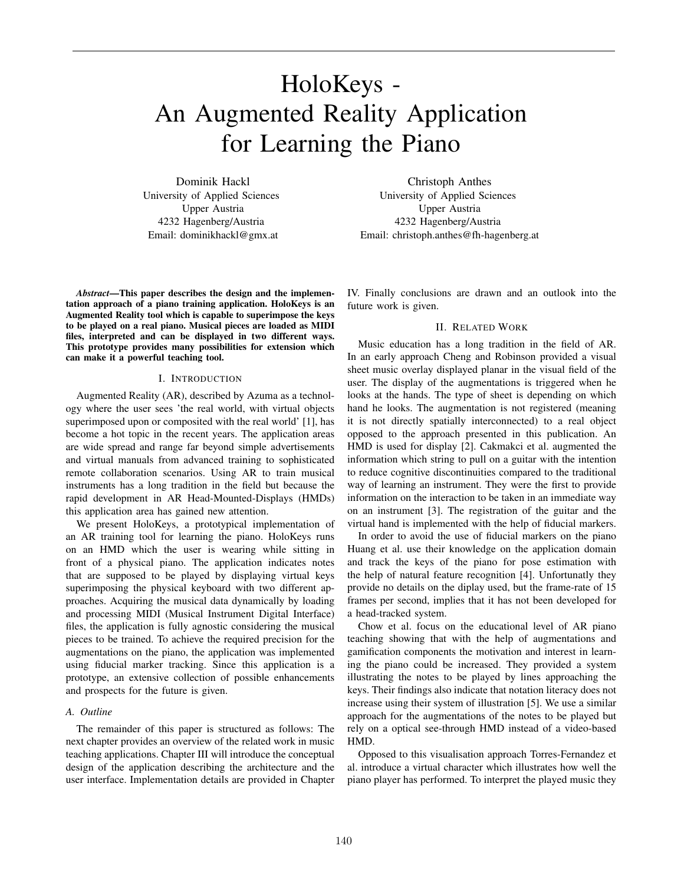# HoloKeys - An Augmented Reality Application for Learning the Piano

Dominik Hackl University of Applied Sciences Upper Austria 4232 Hagenberg/Austria Email: dominikhackl@gmx.at

*Abstract*—This paper describes the design and the implementation approach of a piano training application. HoloKeys is an Augmented Reality tool which is capable to superimpose the keys to be played on a real piano. Musical pieces are loaded as MIDI files, interpreted and can be displayed in two different ways. This prototype provides many possibilities for extension which can make it a powerful teaching tool.

#### I. INTRODUCTION

Augmented Reality (AR), described by Azuma as a technology where the user sees 'the real world, with virtual objects superimposed upon or composited with the real world' [1], has become a hot topic in the recent years. The application areas are wide spread and range far beyond simple advertisements and virtual manuals from advanced training to sophisticated remote collaboration scenarios. Using AR to train musical instruments has a long tradition in the field but because the rapid development in AR Head-Mounted-Displays (HMDs) this application area has gained new attention.

We present HoloKeys, a prototypical implementation of an AR training tool for learning the piano. HoloKeys runs on an HMD which the user is wearing while sitting in front of a physical piano. The application indicates notes that are supposed to be played by displaying virtual keys superimposing the physical keyboard with two different approaches. Acquiring the musical data dynamically by loading and processing MIDI (Musical Instrument Digital Interface) files, the application is fully agnostic considering the musical pieces to be trained. To achieve the required precision for the augmentations on the piano, the application was implemented using fiducial marker tracking. Since this application is a prototype, an extensive collection of possible enhancements and prospects for the future is given.

#### *A. Outline*

The remainder of this paper is structured as follows: The next chapter provides an overview of the related work in music teaching applications. Chapter III will introduce the conceptual design of the application describing the architecture and the user interface. Implementation details are provided in Chapter

Christoph Anthes University of Applied Sciences Upper Austria 4232 Hagenberg/Austria Email: christoph.anthes@fh-hagenberg.at

IV. Finally conclusions are drawn and an outlook into the future work is given.

## II. RELATED WORK

Music education has a long tradition in the field of AR. In an early approach Cheng and Robinson provided a visual sheet music overlay displayed planar in the visual field of the user. The display of the augmentations is triggered when he looks at the hands. The type of sheet is depending on which hand he looks. The augmentation is not registered (meaning it is not directly spatially interconnected) to a real object opposed to the approach presented in this publication. An HMD is used for display [2]. Cakmakci et al. augmented the information which string to pull on a guitar with the intention to reduce cognitive discontinuities compared to the traditional way of learning an instrument. They were the first to provide information on the interaction to be taken in an immediate way on an instrument [3]. The registration of the guitar and the virtual hand is implemented with the help of fiducial markers.

In order to avoid the use of fiducial markers on the piano Huang et al. use their knowledge on the application domain and track the keys of the piano for pose estimation with the help of natural feature recognition [4]. Unfortunatly they provide no details on the diplay used, but the frame-rate of 15 frames per second, implies that it has not been developed for a head-tracked system.

Chow et al. focus on the educational level of AR piano teaching showing that with the help of augmentations and gamification components the motivation and interest in learning the piano could be increased. They provided a system illustrating the notes to be played by lines approaching the keys. Their findings also indicate that notation literacy does not increase using their system of illustration [5]. We use a similar approach for the augmentations of the notes to be played but rely on a optical see-through HMD instead of a video-based HMD.

Opposed to this visualisation approach Torres-Fernandez et al. introduce a virtual character which illustrates how well the piano player has performed. To interpret the played music they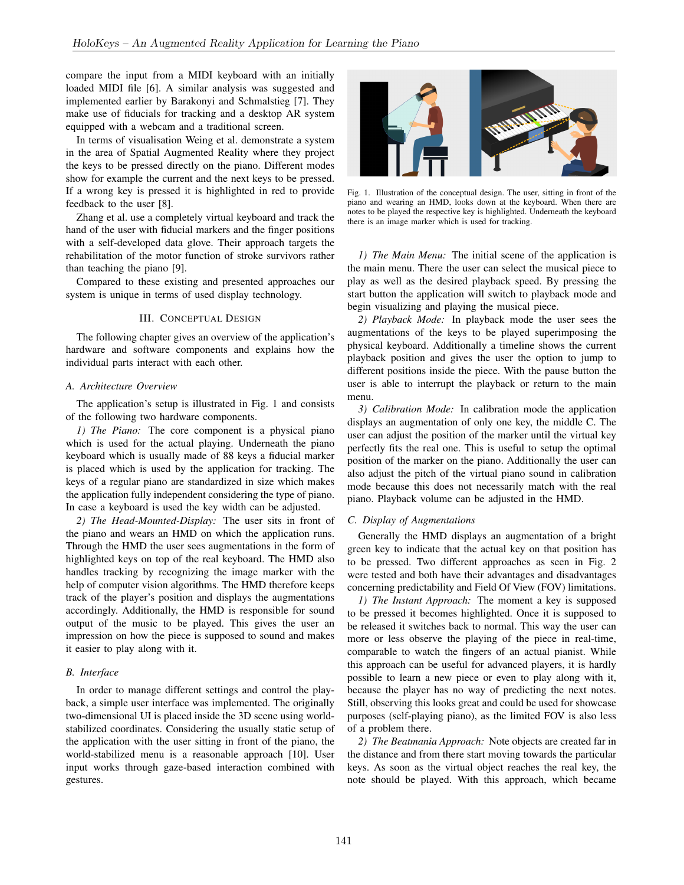compare the input from a MIDI keyboard with an initially loaded MIDI file [6]. A similar analysis was suggested and implemented earlier by Barakonyi and Schmalstieg [7]. They make use of fiducials for tracking and a desktop AR system equipped with a webcam and a traditional screen.

In terms of visualisation Weing et al. demonstrate a system in the area of Spatial Augmented Reality where they project the keys to be pressed directly on the piano. Different modes show for example the current and the next keys to be pressed. If a wrong key is pressed it is highlighted in red to provide feedback to the user [8].

Zhang et al. use a completely virtual keyboard and track the hand of the user with fiducial markers and the finger positions with a self-developed data glove. Their approach targets the rehabilitation of the motor function of stroke survivors rather than teaching the piano [9].

Compared to these existing and presented approaches our system is unique in terms of used display technology.

### III. CONCEPTUAL DESIGN

The following chapter gives an overview of the application's hardware and software components and explains how the individual parts interact with each other.

## *A. Architecture Overview*

The application's setup is illustrated in Fig. 1 and consists of the following two hardware components.

*1) The Piano:* The core component is a physical piano which is used for the actual playing. Underneath the piano keyboard which is usually made of 88 keys a fiducial marker is placed which is used by the application for tracking. The keys of a regular piano are standardized in size which makes the application fully independent considering the type of piano. In case a keyboard is used the key width can be adjusted.

*2) The Head-Mounted-Display:* The user sits in front of the piano and wears an HMD on which the application runs. Through the HMD the user sees augmentations in the form of highlighted keys on top of the real keyboard. The HMD also handles tracking by recognizing the image marker with the help of computer vision algorithms. The HMD therefore keeps track of the player's position and displays the augmentations accordingly. Additionally, the HMD is responsible for sound output of the music to be played. This gives the user an impression on how the piece is supposed to sound and makes it easier to play along with it.

## *B. Interface*

In order to manage different settings and control the playback, a simple user interface was implemented. The originally two-dimensional UI is placed inside the 3D scene using worldstabilized coordinates. Considering the usually static setup of the application with the user sitting in front of the piano, the world-stabilized menu is a reasonable approach [10]. User input works through gaze-based interaction combined with gestures.



Fig. 1. Illustration of the conceptual design. The user, sitting in front of the piano and wearing an HMD, looks down at the keyboard. When there are notes to be played the respective key is highlighted. Underneath the keyboard there is an image marker which is used for tracking.

*1) The Main Menu:* The initial scene of the application is the main menu. There the user can select the musical piece to play as well as the desired playback speed. By pressing the start button the application will switch to playback mode and begin visualizing and playing the musical piece.

*2) Playback Mode:* In playback mode the user sees the augmentations of the keys to be played superimposing the physical keyboard. Additionally a timeline shows the current playback position and gives the user the option to jump to different positions inside the piece. With the pause button the user is able to interrupt the playback or return to the main menu.

*3) Calibration Mode:* In calibration mode the application displays an augmentation of only one key, the middle C. The user can adjust the position of the marker until the virtual key perfectly fits the real one. This is useful to setup the optimal position of the marker on the piano. Additionally the user can also adjust the pitch of the virtual piano sound in calibration mode because this does not necessarily match with the real piano. Playback volume can be adjusted in the HMD.

#### *C. Display of Augmentations*

Generally the HMD displays an augmentation of a bright green key to indicate that the actual key on that position has to be pressed. Two different approaches as seen in Fig. 2 were tested and both have their advantages and disadvantages concerning predictability and Field Of View (FOV) limitations.

*1) The Instant Approach:* The moment a key is supposed to be pressed it becomes highlighted. Once it is supposed to be released it switches back to normal. This way the user can more or less observe the playing of the piece in real-time, comparable to watch the fingers of an actual pianist. While this approach can be useful for advanced players, it is hardly possible to learn a new piece or even to play along with it, because the player has no way of predicting the next notes. Still, observing this looks great and could be used for showcase purposes (self-playing piano), as the limited FOV is also less of a problem there.

*2) The Beatmania Approach:* Note objects are created far in the distance and from there start moving towards the particular keys. As soon as the virtual object reaches the real key, the note should be played. With this approach, which became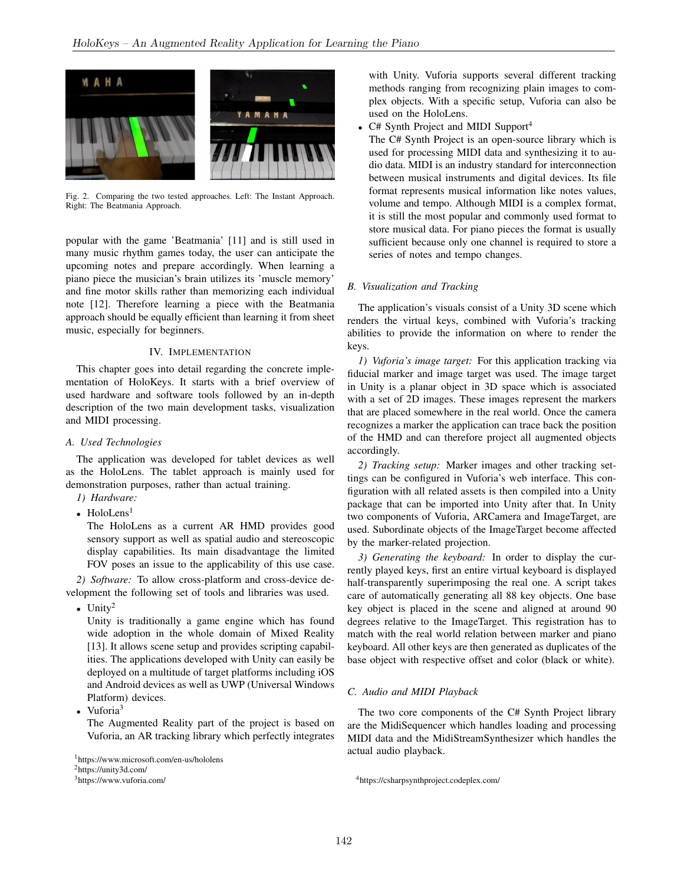

Fig. 2. Comparing the two tested approaches. Left: The Instant Approach. Right: The Beatmania Approach.

popular with the game 'Beatmania' [11] and is still used in many music rhythm games today, the user can anticipate the upcoming notes and prepare accordingly. When learning a piano piece the musician's brain utilizes its 'muscle memory' and fine motor skills rather than memorizing each individual note [12]. Therefore learning a piece with the Beatmania approach should be equally efficient than learning it from sheet music, especially for beginners.

# IV. IMPLEMENTATION

This chapter goes into detail regarding the concrete implementation of HoloKeys. It starts with a brief overview of used hardware and software tools followed by an in-depth description of the two main development tasks, visualization and MIDI processing.

# *A. Used Technologies*

The application was developed for tablet devices as well as the HoloLens. The tablet approach is mainly used for demonstration purposes, rather than actual training.

- *1) Hardware:*
- HoloLens $<sup>1</sup>$ </sup>

The HoloLens as a current AR HMD provides good sensory support as well as spatial audio and stereoscopic display capabilities. Its main disadvantage the limited FOV poses an issue to the applicability of this use case.

*2) Software:* To allow cross-platform and cross-device development the following set of tools and libraries was used.

• Unity<sup>2</sup>

Unity is traditionally a game engine which has found wide adoption in the whole domain of Mixed Reality [13]. It allows scene setup and provides scripting capabilities. The applications developed with Unity can easily be deployed on a multitude of target platforms including iOS and Android devices as well as UWP (Universal Windows Platform) devices.

Vuforia<sup>3</sup>

The Augmented Reality part of the project is based on Vuforia, an AR tracking library which perfectly integrates

<sup>2</sup>https://unity3d.com/

with Unity. Vuforia supports several different tracking methods ranging from recognizing plain images to complex objects. With a specific setup, Vuforia can also be used on the HoloLens.

 $C#$  Synth Project and MIDI Support<sup>4</sup>

The C# Synth Project is an open-source library which is used for processing MIDI data and synthesizing it to audio data. MIDI is an industry standard for interconnection between musical instruments and digital devices. Its file format represents musical information like notes values, volume and tempo. Although MIDI is a complex format, it is still the most popular and commonly used format to store musical data. For piano pieces the format is usually sufficient because only one channel is required to store a series of notes and tempo changes.

## *B. Visualization and Tracking*

The application's visuals consist of a Unity 3D scene which renders the virtual keys, combined with Vuforia's tracking abilities to provide the information on where to render the keys.

*1) Vuforia's image target:* For this application tracking via fiducial marker and image target was used. The image target in Unity is a planar object in 3D space which is associated with a set of 2D images. These images represent the markers that are placed somewhere in the real world. Once the camera recognizes a marker the application can trace back the position of the HMD and can therefore project all augmented objects accordingly.

*2) Tracking setup:* Marker images and other tracking settings can be configured in Vuforia's web interface. This configuration with all related assets is then compiled into a Unity package that can be imported into Unity after that. In Unity two components of Vuforia, ARCamera and ImageTarget, are used. Subordinate objects of the ImageTarget become affected by the marker-related projection.

*3) Generating the keyboard:* In order to display the currently played keys, first an entire virtual keyboard is displayed half-transparently superimposing the real one. A script takes care of automatically generating all 88 key objects. One base key object is placed in the scene and aligned at around 90 degrees relative to the ImageTarget. This registration has to match with the real world relation between marker and piano keyboard. All other keys are then generated as duplicates of the base object with respective offset and color (black or white).

# *C. Audio and MIDI Playback*

The two core components of the C# Synth Project library are the MidiSequencer which handles loading and processing MIDI data and the MidiStreamSynthesizer which handles the actual audio playback.

<sup>1</sup>https://www.microsoft.com/en-us/hololens

<sup>3</sup>https://www.vuforia.com/

<sup>4</sup>https://csharpsynthproject.codeplex.com/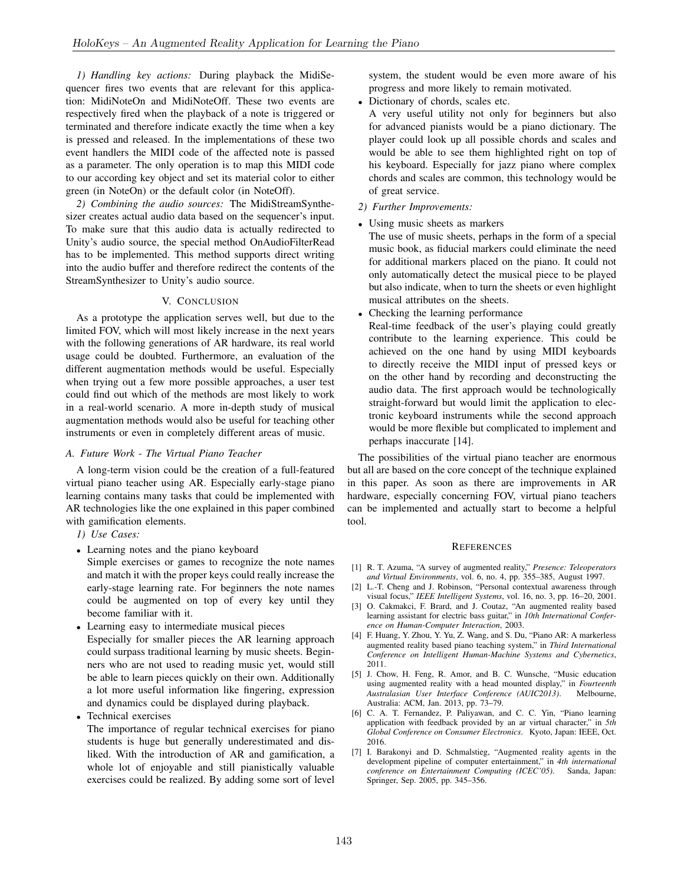*1) Handling key actions:* During playback the MidiSequencer fires two events that are relevant for this application: MidiNoteOn and MidiNoteOff. These two events are respectively fired when the playback of a note is triggered or terminated and therefore indicate exactly the time when a key is pressed and released. In the implementations of these two event handlers the MIDI code of the affected note is passed as a parameter. The only operation is to map this MIDI code to our according key object and set its material color to either green (in NoteOn) or the default color (in NoteOff).

*2) Combining the audio sources:* The MidiStreamSynthesizer creates actual audio data based on the sequencer's input. To make sure that this audio data is actually redirected to Unity's audio source, the special method OnAudioFilterRead has to be implemented. This method supports direct writing into the audio buffer and therefore redirect the contents of the StreamSynthesizer to Unity's audio source.

# V. CONCLUSION

As a prototype the application serves well, but due to the limited FOV, which will most likely increase in the next years with the following generations of AR hardware, its real world usage could be doubted. Furthermore, an evaluation of the different augmentation methods would be useful. Especially when trying out a few more possible approaches, a user test could find out which of the methods are most likely to work in a real-world scenario. A more in-depth study of musical augmentation methods would also be useful for teaching other instruments or even in completely different areas of music.

## *A. Future Work - The Virtual Piano Teacher*

A long-term vision could be the creation of a full-featured virtual piano teacher using AR. Especially early-stage piano learning contains many tasks that could be implemented with AR technologies like the one explained in this paper combined with gamification elements.

- *1) Use Cases:*
- Learning notes and the piano keyboard
- Simple exercises or games to recognize the note names and match it with the proper keys could really increase the early-stage learning rate. For beginners the note names could be augmented on top of every key until they become familiar with it.
- Learning easy to intermediate musical pieces Especially for smaller pieces the AR learning approach could surpass traditional learning by music sheets. Beginners who are not used to reading music yet, would still be able to learn pieces quickly on their own. Additionally a lot more useful information like fingering, expression and dynamics could be displayed during playback.
- Technical exercises

The importance of regular technical exercises for piano students is huge but generally underestimated and disliked. With the introduction of AR and gamification, a whole lot of enjoyable and still pianistically valuable exercises could be realized. By adding some sort of level system, the student would be even more aware of his progress and more likely to remain motivated.

• Dictionary of chords, scales etc.

A very useful utility not only for beginners but also for advanced pianists would be a piano dictionary. The player could look up all possible chords and scales and would be able to see them highlighted right on top of his keyboard. Especially for jazz piano where complex chords and scales are common, this technology would be of great service.

- *2) Further Improvements:*
- Using music sheets as markers

The use of music sheets, perhaps in the form of a special music book, as fiducial markers could eliminate the need for additional markers placed on the piano. It could not only automatically detect the musical piece to be played but also indicate, when to turn the sheets or even highlight musical attributes on the sheets.

• Checking the learning performance

Real-time feedback of the user's playing could greatly contribute to the learning experience. This could be achieved on the one hand by using MIDI keyboards to directly receive the MIDI input of pressed keys or on the other hand by recording and deconstructing the audio data. The first approach would be technologically straight-forward but would limit the application to electronic keyboard instruments while the second approach would be more flexible but complicated to implement and perhaps inaccurate [14].

The possibilities of the virtual piano teacher are enormous but all are based on the core concept of the technique explained in this paper. As soon as there are improvements in AR hardware, especially concerning FOV, virtual piano teachers can be implemented and actually start to become a helpful tool.

#### REFERENCES

- [1] R. T. Azuma, "A survey of augmented reality," *Presence: Teleoperators and Virtual Environments*, vol. 6, no. 4, pp. 355–385, August 1997.
- [2] L.-T. Cheng and J. Robinson, "Personal contextual awareness through visual focus," *IEEE Intelligent Systems*, vol. 16, no. 3, pp. 16–20, 2001.
- [3] O. Cakmakci, F. Brard, and J. Coutaz, "An augmented reality based learning assistant for electric bass guitar," in *10th International Conference on Human-Computer Interaction*, 2003.
- [4] F. Huang, Y. Zhou, Y. Yu, Z. Wang, and S. Du, "Piano AR: A markerless augmented reality based piano teaching system," in *Third International Conference on Intelligent Human-Machine Systems and Cybernetics*, 2011.
- [5] J. Chow, H. Feng, R. Amor, and B. C. Wunsche, "Music education using augmented reality with a head mounted display," in *Fourteenth Australasian User Interface Conference (AUIC2013)*. Melbourne, Australia: ACM, Jan. 2013, pp. 73–79.
- [6] C. A. T. Fernandez, P. Paliyawan, and C. C. Yin, "Piano learning application with feedback provided by an ar virtual character," in *5th Global Conference on Consumer Electronics*. Kyoto, Japan: IEEE, Oct. 2016.
- [7] I. Barakonyi and D. Schmalstieg, "Augmented reality agents in the development pipeline of computer entertainment," in *4th international conference on Entertainment Computing (ICEC'05)*. Sanda, Japan: Springer, Sep. 2005, pp. 345–356.